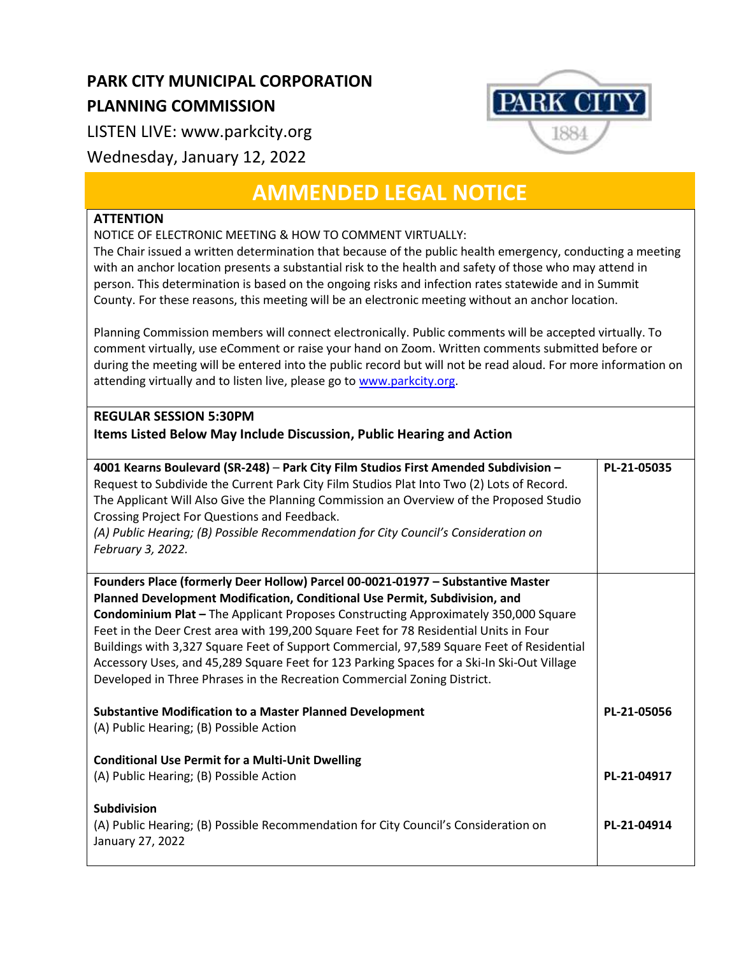## **PARK CITY MUNICIPAL CORPORATION PLANNING COMMISSION**

LISTEN LIVE: www.parkcity.org

Wednesday, January 12, 2022

## **AMMENDED LEGAL NOTICE**

## **ATTENTION**

NOTICE OF ELECTRONIC MEETING & HOW TO COMMENT VIRTUALLY:

The Chair issued a written determination that because of the public health emergency, conducting a meeting with an anchor location presents a substantial risk to the health and safety of those who may attend in person. This determination is based on the ongoing risks and infection rates statewide and in Summit County. For these reasons, this meeting will be an electronic meeting without an anchor location.

Planning Commission members will connect electronically. Public comments will be accepted virtually. To comment virtually, use eComment or raise your hand on Zoom. Written comments submitted before or during the meeting will be entered into the public record but will not be read aloud. For more information on attending virtually and to listen live, please go to [www.parkcity.org.](http://www.parkcity.org/)

## **REGULAR SESSION 5:30PM**

**Items Listed Below May Include Discussion, Public Hearing and Action**

| 4001 Kearns Boulevard (SR-248) - Park City Film Studios First Amended Subdivision -<br>Request to Subdivide the Current Park City Film Studios Plat Into Two (2) Lots of Record.<br>The Applicant Will Also Give the Planning Commission an Overview of the Proposed Studio<br>Crossing Project For Questions and Feedback.<br>(A) Public Hearing; (B) Possible Recommendation for City Council's Consideration on<br>February 3, 2022. | PL-21-05035 |
|-----------------------------------------------------------------------------------------------------------------------------------------------------------------------------------------------------------------------------------------------------------------------------------------------------------------------------------------------------------------------------------------------------------------------------------------|-------------|
| Founders Place (formerly Deer Hollow) Parcel 00-0021-01977 - Substantive Master                                                                                                                                                                                                                                                                                                                                                         |             |
| Planned Development Modification, Conditional Use Permit, Subdivision, and                                                                                                                                                                                                                                                                                                                                                              |             |
| <b>Condominium Plat - The Applicant Proposes Constructing Approximately 350,000 Square</b><br>Feet in the Deer Crest area with 199,200 Square Feet for 78 Residential Units in Four                                                                                                                                                                                                                                                     |             |
| Buildings with 3,327 Square Feet of Support Commercial, 97,589 Square Feet of Residential                                                                                                                                                                                                                                                                                                                                               |             |
| Accessory Uses, and 45,289 Square Feet for 123 Parking Spaces for a Ski-In Ski-Out Village                                                                                                                                                                                                                                                                                                                                              |             |
| Developed in Three Phrases in the Recreation Commercial Zoning District.                                                                                                                                                                                                                                                                                                                                                                |             |
|                                                                                                                                                                                                                                                                                                                                                                                                                                         |             |
| <b>Substantive Modification to a Master Planned Development</b><br>(A) Public Hearing; (B) Possible Action                                                                                                                                                                                                                                                                                                                              | PL-21-05056 |
|                                                                                                                                                                                                                                                                                                                                                                                                                                         |             |
| <b>Conditional Use Permit for a Multi-Unit Dwelling</b>                                                                                                                                                                                                                                                                                                                                                                                 |             |
| (A) Public Hearing; (B) Possible Action                                                                                                                                                                                                                                                                                                                                                                                                 | PL-21-04917 |
|                                                                                                                                                                                                                                                                                                                                                                                                                                         |             |
| <b>Subdivision</b>                                                                                                                                                                                                                                                                                                                                                                                                                      |             |
| (A) Public Hearing; (B) Possible Recommendation for City Council's Consideration on                                                                                                                                                                                                                                                                                                                                                     | PL-21-04914 |
| January 27, 2022                                                                                                                                                                                                                                                                                                                                                                                                                        |             |
|                                                                                                                                                                                                                                                                                                                                                                                                                                         |             |